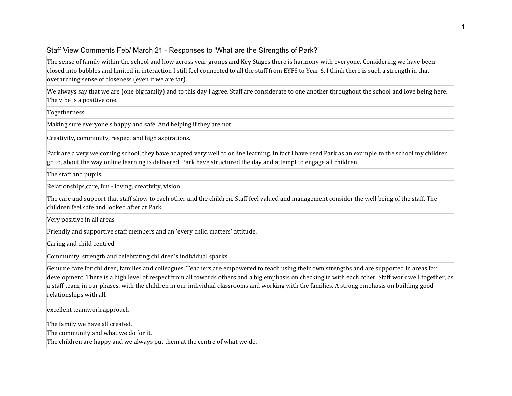## Staff View Comments Feb/ March 21 - Responses to 'What are the Strengths of Park?'

The sense of family within the school and how across year groups and Key Stages there is harmony with everyone. Considering we have been closed into bubbles and limited in interaction I still feel connected to all the staff from EYFS to Year 6. I think there is such a strength in that overarching sense of closeness (even if we are far).

We always say that we are (one big family) and to this day I agree. Staff are considerate to one another throughout the school and love being here. The vibe is a positive one.

Togetherness

Making sure everyone's happy and safe. And helping if they are not

Creativity, community, respect and high aspirations.

Park are a very welcoming school, they have adapted very well to online learning. In fact I have used Park as an example to the school my children go to, about the way online learning is delivered. Park have structured the day and attempt to engage all children.

The staff and pupils.

Relationships,care, fun - loving, creativity, vision

The care and support that staff show to each other and the children. Staff feel valued and management consider the well being of the staff. The children feel safe and looked after at Park.

Very positive in all areas

Friendly and supportive staff members and an 'every child matters' attitude.

Caring and child centred

Community, strength and celebrating children's individual sparks

Genuine care for children, families and colleagues. Teachers are empowered to teach using their own strengths and are supported in areas for development. There is a high level of respect from all towards others and a big emphasis on checking in with each other. Staff work well together, as a staff team, in our phases, with the children in our individual classrooms and working with the families. A strong emphasis on building good relationships with all.

excellent teamwork approach

The family we have all created.

The community and what we do for it.

The children are happy and we always put them at the centre of what we do.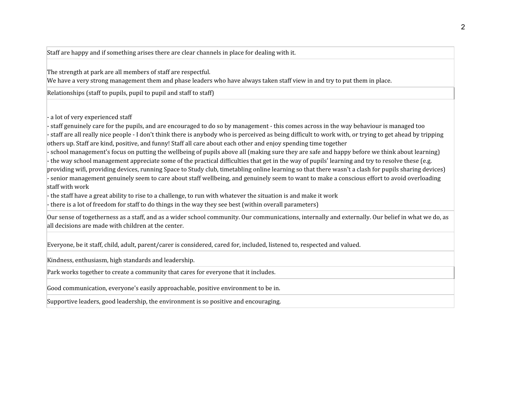Staff are happy and if something arises there are clear channels in place for dealing with it.

The strength at park are all members of staff are respectful.

We have a very strong management them and phase leaders who have always taken staff view in and try to put them in place.

Relationships (staff to pupils, pupil to pupil and staff to staff)

- a lot of very experienced staff

- staff genuinely care for the pupils, and are encouraged to do so by management - this comes across in the way behaviour is managed too - staff are all really nice people - I don't think there is anybody who is perceived as being difficult to work with, or trying to get ahead by tripping others up. Staff are kind, positive, and funny! Staff all care about each other and enjoy spending time together

- school management's focus on putting the wellbeing of pupils above all (making sure they are safe and happy before we think about learning) - the way school management appreciate some of the practical difficulties that get in the way of pupils' learning and try to resolve these (e.g. providing wifi, providing devices, running Space to Study club, timetabling online learning so that there wasn't a clash for pupils sharing devices) - senior management genuinely seem to care about staff wellbeing, and genuinely seem to want to make a conscious effort to avoid overloading staff with work

- the staff have a great ability to rise to a challenge, to run with whatever the situation is and make it work

- there is a lot of freedom for staff to do things in the way they see best (within overall parameters)

Our sense of togetherness as a staff, and as a wider school community. Our communications, internally and externally. Our belief in what we do, as all decisions are made with children at the center.

Everyone, be it staff, child, adult, parent/carer is considered, cared for, included, listened to, respected and valued.

Kindness, enthusiasm, high standards and leadership.

Park works together to create a community that cares for everyone that it includes.

Good communication, everyone's easily approachable, positive environment to be in.

Supportive leaders, good leadership, the environment is so positive and encouraging.